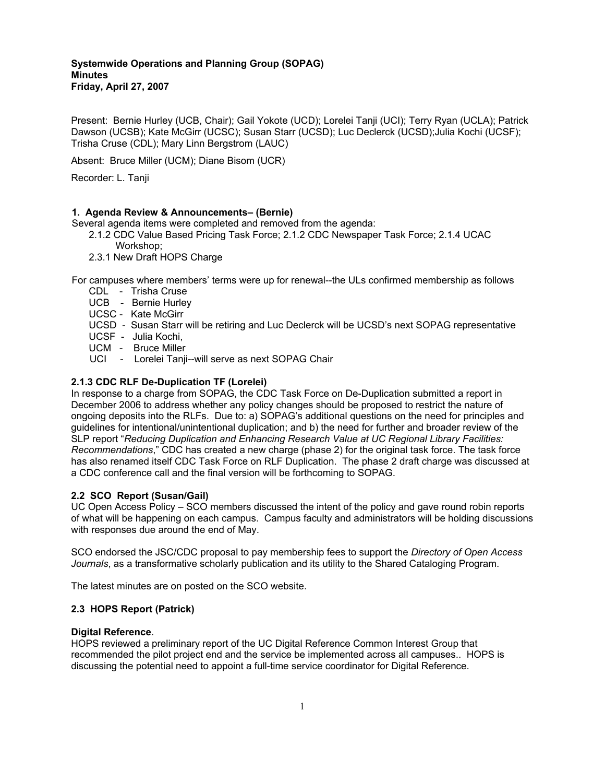## **Systemwide Operations and Planning Group (SOPAG) Minutes Friday, April 27, 2007**

Present: Bernie Hurley (UCB, Chair); Gail Yokote (UCD); Lorelei Tanji (UCI); Terry Ryan (UCLA); Patrick Dawson (UCSB); Kate McGirr (UCSC); Susan Starr (UCSD); Luc Declerck (UCSD);Julia Kochi (UCSF); Trisha Cruse (CDL); Mary Linn Bergstrom (LAUC)

Absent: Bruce Miller (UCM); Diane Bisom (UCR)

Recorder: L. Tanji

### **1. Agenda Review & Announcements– (Bernie)**

Several agenda items were completed and removed from the agenda:

- 2.1.2 CDC Value Based Pricing Task Force; 2.1.2 CDC Newspaper Task Force; 2.1.4 UCAC
	- Workshop;
	- 2.3.1 New Draft HOPS Charge

For campuses where members' terms were up for renewal--the ULs confirmed membership as follows

- CDL Trisha Cruse
- UCB Bernie Hurley
- UCSC Kate McGirr
- UCSD Susan Starr will be retiring and Luc Declerck will be UCSD's next SOPAG representative
- UCSF Julia Kochi,
- UCM Bruce Miller
- UCI Lorelei Tanji--will serve as next SOPAG Chair

# **2.1.3 CDC RLF De-Duplication TF (Lorelei)**

In response to a charge from SOPAG, the CDC Task Force on De-Duplication submitted a report in December 2006 to address whether any policy changes should be proposed to restrict the nature of ongoing deposits into the RLFs. Due to: a) SOPAG's additional questions on the need for principles and guidelines for intentional/unintentional duplication; and b) the need for further and broader review of the SLP report "*Reducing Duplication and Enhancing Research Value at UC Regional Library Facilities: Recommendations*," CDC has created a new charge (phase 2) for the original task force. The task force has also renamed itself CDC Task Force on RLF Duplication. The phase 2 draft charge was discussed at a CDC conference call and the final version will be forthcoming to SOPAG.

# **2.2 SCO Report (Susan/Gail)**

UC Open Access Policy – SCO members discussed the intent of the policy and gave round robin reports of what will be happening on each campus. Campus faculty and administrators will be holding discussions with responses due around the end of May.

SCO endorsed the JSC/CDC proposal to pay membership fees to support the *Directory of Open Access Journals*, as a transformative scholarly publication and its utility to the Shared Cataloging Program.

The latest minutes are on posted on the SCO website.

# **2.3 HOPS Report (Patrick)**

### **Digital Reference**.

HOPS reviewed a preliminary report of the UC Digital Reference Common Interest Group that recommended the pilot project end and the service be implemented across all campuses.. HOPS is discussing the potential need to appoint a full-time service coordinator for Digital Reference.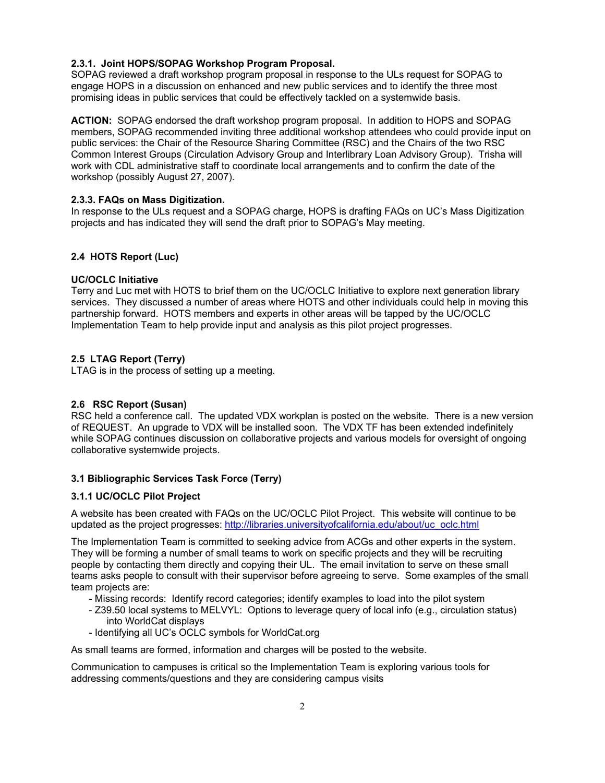### **2.3.1. Joint HOPS/SOPAG Workshop Program Proposal.**

SOPAG reviewed a draft workshop program proposal in response to the ULs request for SOPAG to engage HOPS in a discussion on enhanced and new public services and to identify the three most promising ideas in public services that could be effectively tackled on a systemwide basis.

**ACTION:** SOPAG endorsed the draft workshop program proposal. In addition to HOPS and SOPAG members, SOPAG recommended inviting three additional workshop attendees who could provide input on public services: the Chair of the Resource Sharing Committee (RSC) and the Chairs of the two RSC Common Interest Groups (Circulation Advisory Group and Interlibrary Loan Advisory Group). Trisha will work with CDL administrative staff to coordinate local arrangements and to confirm the date of the workshop (possibly August 27, 2007).

#### **2.3.3. FAQs on Mass Digitization.**

In response to the ULs request and a SOPAG charge, HOPS is drafting FAQs on UC's Mass Digitization projects and has indicated they will send the draft prior to SOPAG's May meeting.

### **2.4 HOTS Report (Luc)**

#### **UC/OCLC Initiative**

Terry and Luc met with HOTS to brief them on the UC/OCLC Initiative to explore next generation library services. They discussed a number of areas where HOTS and other individuals could help in moving this partnership forward. HOTS members and experts in other areas will be tapped by the UC/OCLC Implementation Team to help provide input and analysis as this pilot project progresses.

#### **2.5 LTAG Report (Terry)**

LTAG is in the process of setting up a meeting.

### **2.6 RSC Report (Susan)**

RSC held a conference call. The updated VDX workplan is posted on the website. There is a new version of REQUEST. An upgrade to VDX will be installed soon. The VDX TF has been extended indefinitely while SOPAG continues discussion on collaborative projects and various models for oversight of ongoing collaborative systemwide projects.

# **3.1 Bibliographic Services Task Force (Terry)**

#### **3.1.1 UC/OCLC Pilot Project**

A website has been created with FAQs on the UC/OCLC Pilot Project. This website will continue to be updated as the project progresses: http://libraries.universityofcalifornia.edu/about/uc\_oclc.html

The Implementation Team is committed to seeking advice from ACGs and other experts in the system. They will be forming a number of small teams to work on specific projects and they will be recruiting people by contacting them directly and copying their UL. The email invitation to serve on these small teams asks people to consult with their supervisor before agreeing to serve. Some examples of the small team projects are:

- Missing records: Identify record categories; identify examples to load into the pilot system
- Z39.50 local systems to MELVYL: Options to leverage query of local info (e.g., circulation status) into WorldCat displays
- Identifying all UC's OCLC symbols for WorldCat.org

As small teams are formed, information and charges will be posted to the website.

Communication to campuses is critical so the Implementation Team is exploring various tools for addressing comments/questions and they are considering campus visits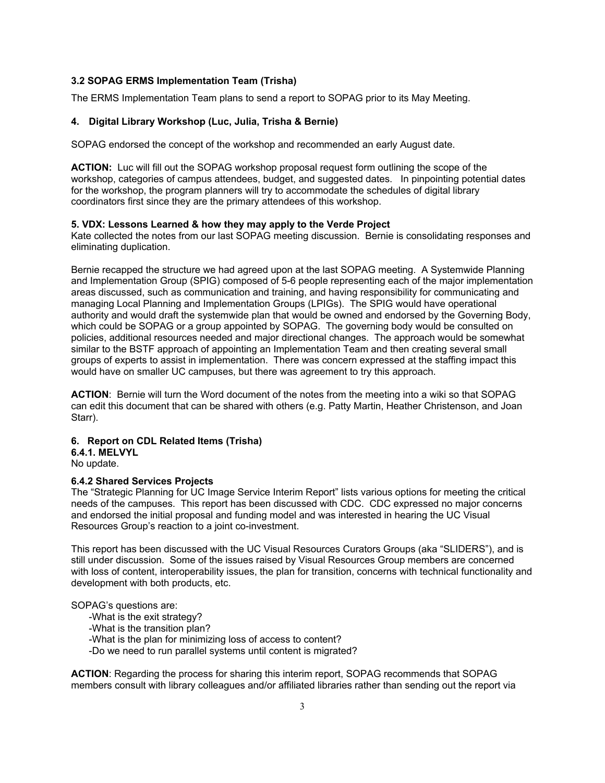### **3.2 SOPAG ERMS Implementation Team (Trisha)**

The ERMS Implementation Team plans to send a report to SOPAG prior to its May Meeting.

#### **4. Digital Library Workshop (Luc, Julia, Trisha & Bernie)**

SOPAG endorsed the concept of the workshop and recommended an early August date.

**ACTION:** Luc will fill out the SOPAG workshop proposal request form outlining the scope of the workshop, categories of campus attendees, budget, and suggested dates. In pinpointing potential dates for the workshop, the program planners will try to accommodate the schedules of digital library coordinators first since they are the primary attendees of this workshop.

#### **5. VDX: Lessons Learned & how they may apply to the Verde Project**

Kate collected the notes from our last SOPAG meeting discussion. Bernie is consolidating responses and eliminating duplication.

Bernie recapped the structure we had agreed upon at the last SOPAG meeting. A Systemwide Planning and Implementation Group (SPIG) composed of 5-6 people representing each of the major implementation areas discussed, such as communication and training, and having responsibility for communicating and managing Local Planning and Implementation Groups (LPIGs). The SPIG would have operational authority and would draft the systemwide plan that would be owned and endorsed by the Governing Body, which could be SOPAG or a group appointed by SOPAG. The governing body would be consulted on policies, additional resources needed and major directional changes. The approach would be somewhat similar to the BSTF approach of appointing an Implementation Team and then creating several small groups of experts to assist in implementation. There was concern expressed at the staffing impact this would have on smaller UC campuses, but there was agreement to try this approach.

**ACTION**: Bernie will turn the Word document of the notes from the meeting into a wiki so that SOPAG can edit this document that can be shared with others (e.g. Patty Martin, Heather Christenson, and Joan Starr).

## **6. Report on CDL Related Items (Trisha)**

#### **6.4.1. MELVYL**

No update.

### **6.4.2 Shared Services Projects**

The "Strategic Planning for UC Image Service Interim Report" lists various options for meeting the critical needs of the campuses. This report has been discussed with CDC. CDC expressed no major concerns and endorsed the initial proposal and funding model and was interested in hearing the UC Visual Resources Group's reaction to a joint co-investment.

This report has been discussed with the UC Visual Resources Curators Groups (aka "SLIDERS"), and is still under discussion. Some of the issues raised by Visual Resources Group members are concerned with loss of content, interoperability issues, the plan for transition, concerns with technical functionality and development with both products, etc.

#### SOPAG's questions are:

- -What is the exit strategy?
- -What is the transition plan?

-What is the plan for minimizing loss of access to content?

-Do we need to run parallel systems until content is migrated?

**ACTION**: Regarding the process for sharing this interim report, SOPAG recommends that SOPAG members consult with library colleagues and/or affiliated libraries rather than sending out the report via